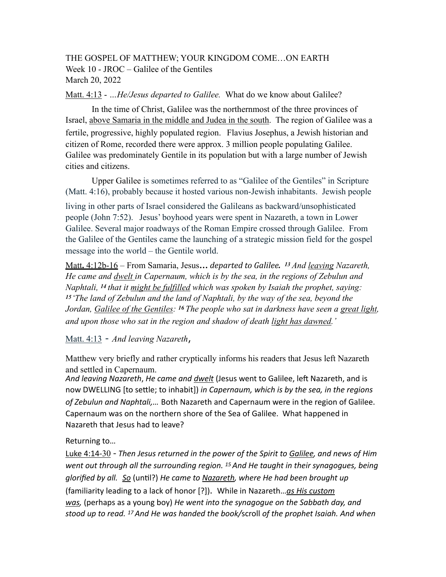THE GOSPEL OF MATTHEW; YOUR KINGDOM COME…ON EARTH Week 10 - JROC – Galilee of the Gentiles March 20, 2022

Matt. 4:13 - *…He/Jesus departed to Galilee.* What do we know about Galilee?

In the time of Christ, Galilee was the northernmost of the three provinces of Israel, above Samaria in the middle and Judea in the south. The region of Galilee was a fertile, progressive, highly populated region. Flavius Josephus, a Jewish historian and citizen of Rome, recorded there were approx. 3 million people populating Galilee. Galilee was predominately Gentile in its population but with a large number of Jewish cities and citizens.

 Upper Galilee is sometimes referred to as "Galilee of the Gentiles" in Scripture (Matt. 4:16), probably because it hosted various non-Jewish inhabitants. Jewish people

living in other parts of Israel considered the Galileans as backward/unsophisticated people (John 7:52). Jesus' boyhood years were spent in Nazareth, a town in Lower Galilee. Several major roadways of the Roman Empire crossed through Galilee. From the Galilee of the Gentiles came the launching of a strategic mission field for the gospel message into the world – the Gentile world.

Matt**.** 4:12b-16 – From Samaria, Jesus*… departed to Galilee. 13 And leaving Nazareth, He came and dwelt in Capernaum, which is by the sea, in the regions of Zebulun and Naphtali, 14 that it might be fulfilled which was spoken by Isaiah the prophet, saying: 15 'The land of Zebulun and the land of Naphtali, by the way of the sea, beyond the Jordan, Galilee of the Gentiles: 16 The people who sat in darkness have seen a great light, and upon those who sat in the region and shadow of death light has dawned.'*

Matt. 4:13 - *And leaving Nazareth*,

Matthew very briefly and rather cryptically informs his readers that Jesus left Nazareth and settled in Capernaum.

And leaving Nazareth, *He came and dwelt* (Jesus went to Galilee, left Nazareth, and is now DWELLING [to settle; to inhabit]) *in Capernaum, which is by the sea, in the regions of Zebulun and Naphtali,…* Both Nazareth and Capernaum were in the region of Galilee. Capernaum was on the northern shore of the Sea of Galilee. What happened in Nazareth that Jesus had to leave?

Returning to…

Luke 4:14-30 - *Then Jesus returned in the power of the Spirit to Galilee, and news of Him went out through all the surrounding region. 15 And He taught in their synagogues, being glorified by all. So* (until?) *He came to Nazareth, where He had been brought up* (familiarity leading to a lack of honor [?]). While in Nazareth…*as His custom was,* (perhaps as a young boy) *He went into the synagogue on the Sabbath day, and stood up to read. 17 And He was handed the book/*scroll *of the prophet Isaiah. And when*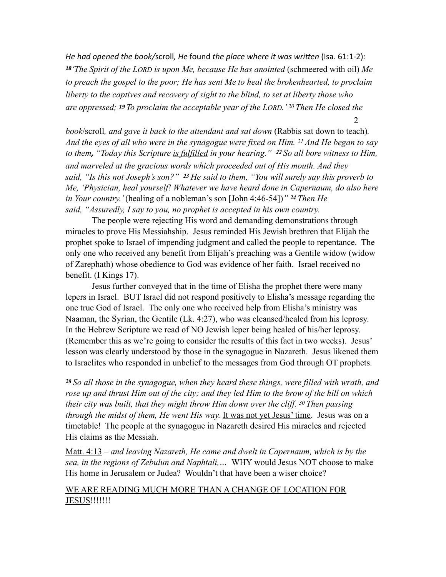*He had opened the book/scroll, He found the place where it was written (Isa. 61:1-2): 18 'The Spirit of the LORD is upon Me, because He has anointed* (schmeered with oil) *Me to preach the gospel to the poor; He has sent Me to heal the brokenhearted, to proclaim liberty to the captives and recovery of sight to the blind, to set at liberty those who are oppressed; 19 To proclaim the acceptable year of the LORD.' 20 Then He closed the*  2

*book*/scroll*, and gave it back to the attendant and sat down* (Rabbis sat down to teach)*. And the eyes of all who were in the synagogue were fixed on Him. 21 And He began to say to them, "Today this Scripture is fulfilled in your hearing." 22 So all bore witness to Him, and marveled at the gracious words which proceeded out of His mouth. And they said, "Is this not Joseph's son?" 23 He said to them, "You will surely say this proverb to Me, 'Physician, heal yourself! Whatever we have heard done in Capernaum, do also here in Your country.'* (healing of a nobleman's son [John 4:46-54])*" 24 Then He said, "Assuredly, I say to you, no prophet is accepted in his own country.* 

The people were rejecting His word and demanding demonstrations through miracles to prove His Messiahship. Jesus reminded His Jewish brethren that Elijah the prophet spoke to Israel of impending judgment and called the people to repentance. The only one who received any benefit from Elijah's preaching was a Gentile widow (widow of Zarephath) whose obedience to God was evidence of her faith. Israel received no benefit. (I Kings 17).

 Jesus further conveyed that in the time of Elisha the prophet there were many lepers in Israel. BUT Israel did not respond positively to Elisha's message regarding the one true God of Israel. The only one who received help from Elisha's ministry was Naaman, the Syrian, the Gentile (Lk. 4:27), who was cleansed/healed from his leprosy. In the Hebrew Scripture we read of NO Jewish leper being healed of his/her leprosy. (Remember this as we're going to consider the results of this fact in two weeks). Jesus' lesson was clearly understood by those in the synagogue in Nazareth. Jesus likened them to Israelites who responded in unbelief to the messages from God through OT prophets.

*<sup>28</sup>So all those in the synagogue, when they heard these things, were filled with wrath, and rose up and thrust Him out of the city; and they led Him to the brow of the hill on which their city was built, that they might throw Him down over the cliff. 30 Then passing through the midst of them, He went His way.* It was not yet Jesus' time. Jesus was on a timetable! The people at the synagogue in Nazareth desired His miracles and rejected His claims as the Messiah.

Matt. 4:13 – *and leaving Nazareth, He came and dwelt in Capernaum, which is by the sea, in the regions of Zebulun and Naphtali,…* WHY would Jesus NOT choose to make His home in Jerusalem or Judea? Wouldn't that have been a wiser choice?

## WE ARE READING MUCH MORE THAN A CHANGE OF LOCATION FOR JESUS!!!!!!!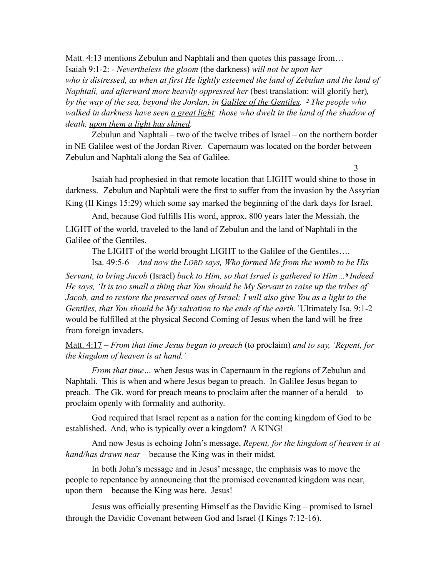Matt. 4:13 mentions Zebulun and Naphtali and then quotes this passage from... Isaiah 9:1-2: - *Nevertheless the gloom* (the darkness) *will not be upon her*  who is distressed, as when at first He lightly esteemed the land of Zebulun and the land of *Naphtali, and afterward more heavily oppressed her* (best translation: will glorify her)*, by the way of the sea, beyond the Jordan, in Galilee of the Gentiles. 2 The people who*  walked in darkness have seen <u>a great light</u>; those who dwelt in the land of the shadow of *death, upon them a light has shined.* 

Zebulun and Naphtali – two of the twelve tribes of Israel – on the northern border in NE Galilee west of the Jordan River. Capernaum was located on the border between Zebulun and Naphtali along the Sea of Galilee.

Isaiah had prophesied in that remote location that LIGHT would shine to those in darkness. Zebulun and Naphtali were the first to suffer from the invasion by the Assyrian King (II Kings 15:29) which some say marked the beginning of the dark days for Israel.

And, because God fulfills His word, approx. 800 years later the Messiah, the LIGHT of the world, traveled to the land of Zebulun and the land of Naphtali in the Galilee of the Gentiles.

3

 The LIGHT of the world brought LIGHT to the Galilee of the Gentiles…. Isa. 49:5-6 – *And now the LORD says, Who formed Me from the womb to be His* 

*Servant, to bring Jacob* (Israel) *back to Him, so that Israel is gathered to Him…6 Indeed He says, 'It is too small a thing that You should be My Servant to raise up the tribes of Jacob, and to restore the preserved ones of Israel; I will also give You as a light to the Gentiles, that You should be My salvation to the ends of the earth.'* Ultimately Isa. 9:1-2 would be fulfilled at the physical Second Coming of Jesus when the land will be free from foreign invaders.

Matt. 4:17 – *From that time Jesus began to preach* (to proclaim) *and to say, 'Repent, for the kingdom of heaven is at hand.'* 

 *From that time…* when Jesus was in Capernaum in the regions of Zebulun and Naphtali. This is when and where Jesus began to preach. In Galilee Jesus began to preach. The Gk. word for preach means to proclaim after the manner of a herald – to proclaim openly with formality and authority.

God required that Israel repent as a nation for the coming kingdom of God to be established. And, who is typically over a kingdom? A KING!

 And now Jesus is echoing John's message, *Repent, for the kingdom of heaven is at hand/has drawn near –* because the King was in their midst.

 In both John's message and in Jesus' message, the emphasis was to move the people to repentance by announcing that the promised covenanted kingdom was near, upon them – because the King was here. Jesus!

Jesus was officially presenting Himself as the Davidic King – promised to Israel through the Davidic Covenant between God and Israel (I Kings 7:12-16).